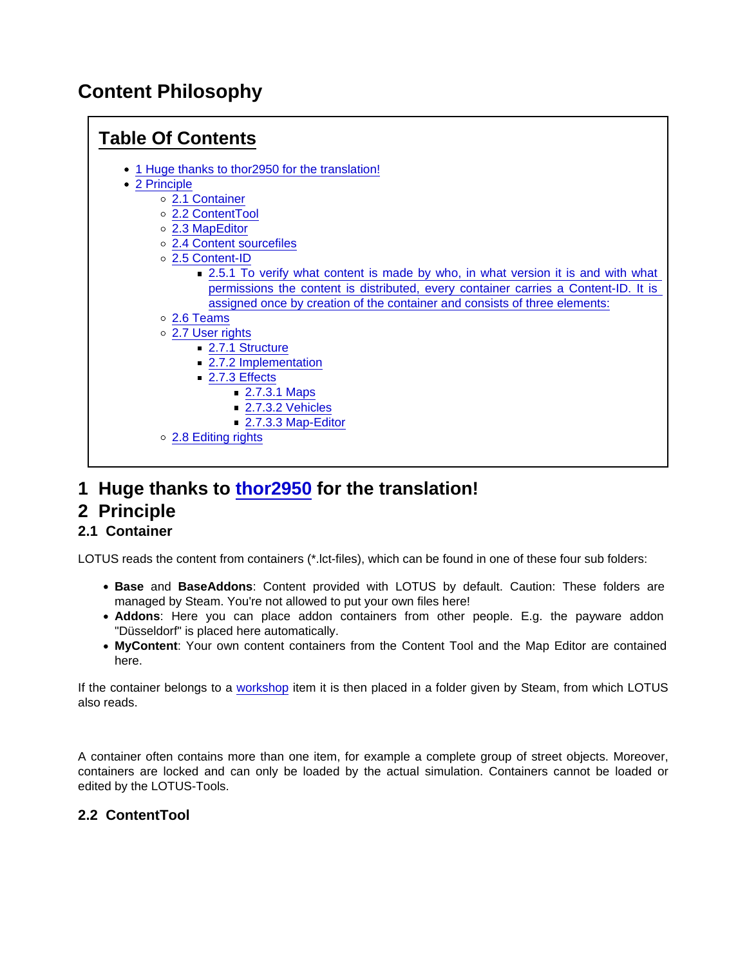# Content Philosophy



- 1 Huge thanks to [thor2950](https://www.lotus-simulator.de/index.php?user/3992-thor2950/) for the translation!
- 2 Principle
- 2.1 Container

LOTUS reads the content from containers (\*.lct-files), which can be found in one of these four sub folders:

- Base and BaseAddons : Content provided with LOTUS by default. Caution: These folders are managed by Steam. You're not allowed to put your own files here!
- Addons : Here you can place addon containers from other people. E.g. the payware addon "Düsseldorf" is placed here automatically.
- MyContent : Your own content containers from the Content Tool and the Map Editor are contained here.

If the container belongs to a [workshop](https://www.lotus-simulator.de/lexikon/index.php?entry/335-workshop/) item it is then placed in a folder given by Steam, from which LOTUS also reads.

A container often contains more than one item, for example a complete group of street objects. Moreover, containers are locked and can only be loaded by the actual simulation. Containers cannot be loaded or edited by the LOTUS-Tools.

2.2 ContentTool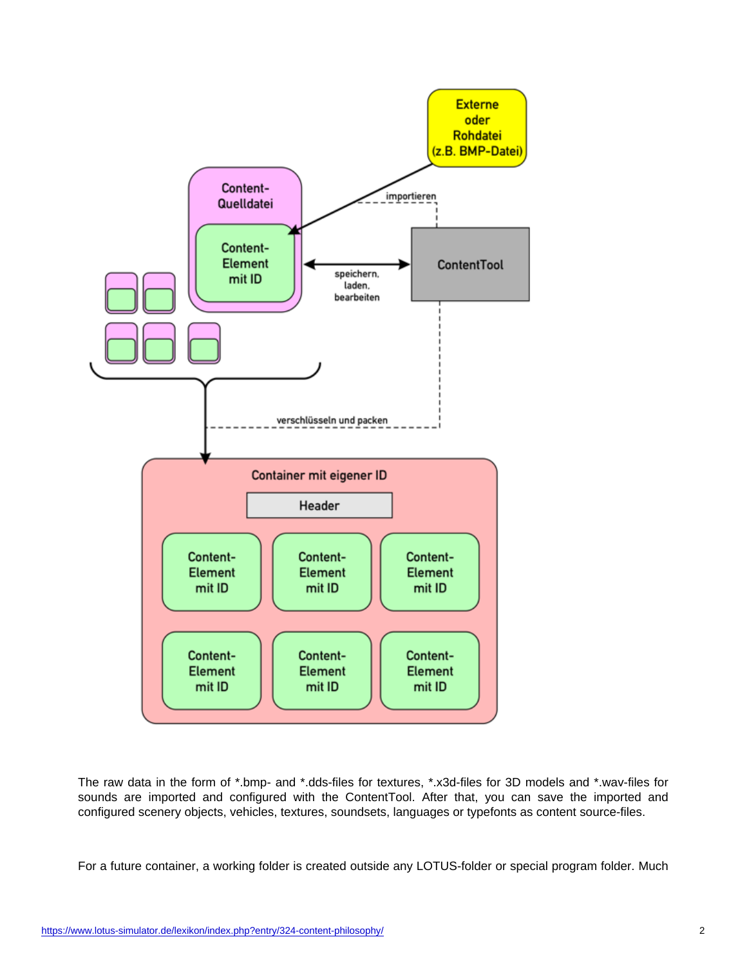The raw data in the form of \*.bmp- and \*.dds-files for textures, \*.x3d-files for 3D models and \*.wav-files for sounds are imported and configured with the ContentTool. After that, you can save the imported and configured scenery objects, vehicles, textures, soundsets, languages or typefonts as content source-files.

For a future container, a working folder is created outside any LOTUS-folder or special program folder. Much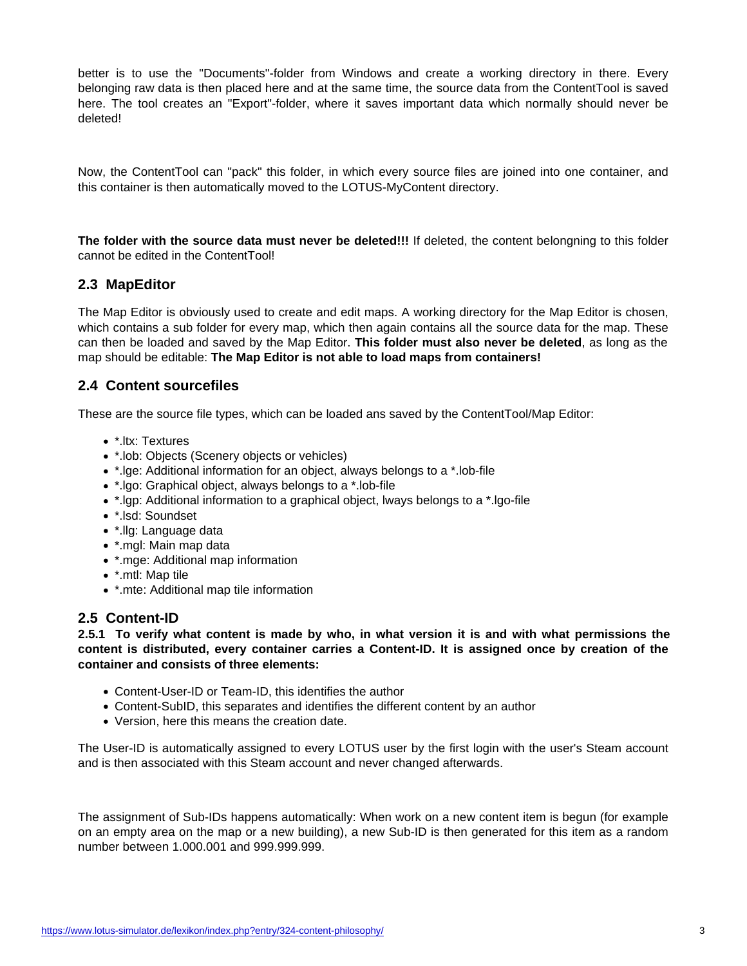better is to use the "Documents"-folder from Windows and create a working directory in there. Every belonging raw data is then placed here and at the same time, the source data from the ContentTool is saved here. The tool creates an "Export"-folder, where it saves important data which normally should never be deleted!

Now, the ContentTool can "pack" this folder, in which every source files are joined into one container, and this container is then automatically moved to the LOTUS-MyContent directory.

The folder with the source data must never be deleted!!! If deleted, the content belongning to this folder cannot be edited in the ContentTool!

## 2.3 MapEditor

The Map Editor is obviously used to create and edit maps. A working directory for the Map Editor is chosen, which contains a sub folder for every map, which then again contains all the source data for the map. These can then be loaded and saved by the Map Editor. This folder must also never be deleted , as long as the map should be editable: The Map Editor is not able to load maps from containers!

## 2.4 Content sourcefiles

These are the source file types, which can be loaded ans saved by the ContentTool/Map Editor:

- \*.ltx: Textures
- \*.lob: Objects (Scenery objects or vehicles)
- \*.lge: Additional information for an object, always belongs to a \*.lob-file
- \*.lgo: Graphical object, always belongs to a \*.lob-file
- \*.lgp: Additional information to a graphical object, lways belongs to a \*.lgo-file
- \*.lsd: Soundset
- \*.llg: Language data
- \*.mgl: Main map data
- \*.mge: Additional map information
- \*.mtl: Map tile
- \*.mte: Additional map tile information

# 2.5 Content-ID

2.5.1 To verify what content is made by who, in what version it is and with what permissions the content is distributed, every container carries a Content-ID. It is assigned once by creation of the container and consists of three elements:

- Content-User-ID or Team-ID, this identifies the author
- Content-SubID, this separates and identifies the different content by an author
- Version, here this means the creation date.

The User-ID is automatically assigned to every LOTUS user by the first login with the user's Steam account and is then associated with this Steam account and never changed afterwards.

The assignment of Sub-IDs happens automatically: When work on a new content item is begun (for example on an empty area on the map or a new building), a new Sub-ID is then generated for this item as a random number between 1.000.001 and 999.999.999.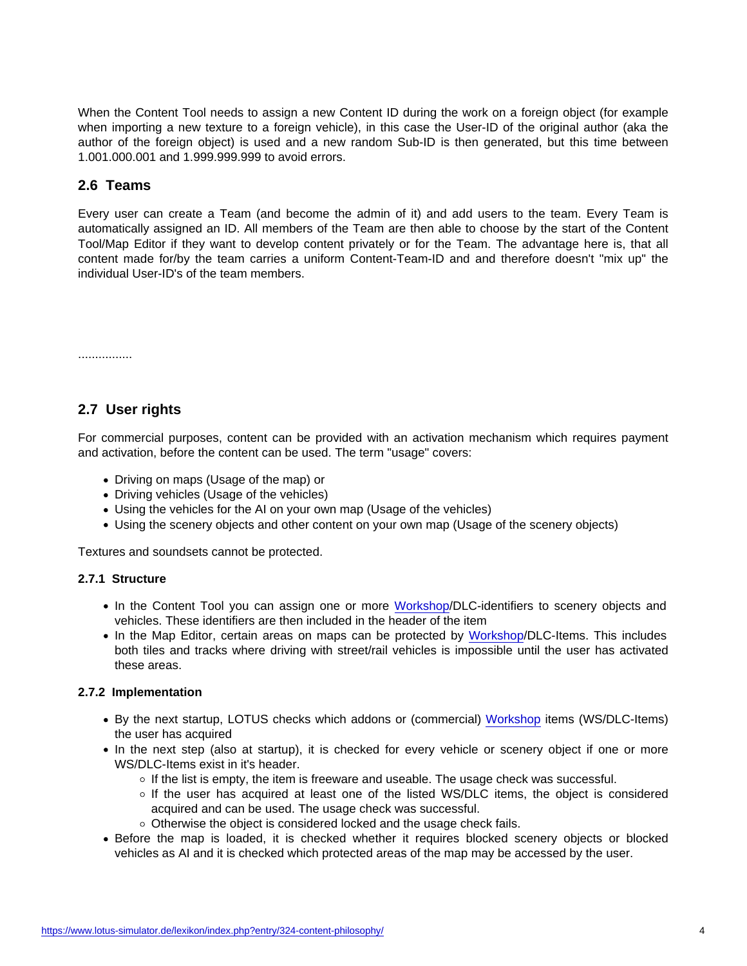When the Content Tool needs to assign a new Content ID during the work on a foreign object (for example when importing a new texture to a foreign vehicle), in this case the User-ID of the original author (aka the author of the foreign object) is used and a new random Sub-ID is then generated, but this time between 1.001.000.001 and 1.999.999.999 to avoid errors.

## 2.6 Teams

Every user can create a Team (and become the admin of it) and add users to the team. Every Team is automatically assigned an ID. All members of the Team are then able to choose by the start of the Content Tool/Map Editor if they want to develop content privately or for the Team. The advantage here is, that all content made for/by the team carries a uniform Content-Team-ID and and therefore doesn't "mix up" the individual User-ID's of the team members.

................

# 2.7 User rights

For commercial purposes, content can be provided with an activation mechanism which requires payment and activation, before the content can be used. The term "usage" covers:

- Driving on maps (Usage of the map) or
- Driving vehicles (Usage of the vehicles)
- Using the vehicles for the AI on your own map (Usage of the vehicles)
- Using the scenery objects and other content on your own map (Usage of the scenery objects)

Textures and soundsets cannot be protected.

## 2.7.1 Structure

- In the Content Tool you can assign one or more [Workshop/](https://www.lotus-simulator.de/lexikon/index.php?entry/335-workshop/)DLC-identifiers to scenery objects and vehicles. These identifiers are then included in the header of the item
- In the Map Editor, certain areas on maps can be protected by [Workshop](https://www.lotus-simulator.de/lexikon/index.php?entry/335-workshop/)/DLC-Items. This includes both tiles and tracks where driving with street/rail vehicles is impossible until the user has activated these areas.

### 2.7.2 Implementation

- By the next startup, LOTUS checks which addons or (commercial) [Workshop](https://www.lotus-simulator.de/lexikon/index.php?entry/335-workshop/) items (WS/DLC-Items) the user has acquired
- In the next step (also at startup), it is checked for every vehicle or scenery object if one or more WS/DLC-Items exist in it's header.
	- $\circ$  If the list is empty, the item is freeware and useable. The usage check was successful.
	- $\circ$  If the user has acquired at least one of the listed WS/DLC items, the object is considered acquired and can be used. The usage check was successful.
	- $\circ$  Otherwise the object is considered locked and the usage check fails.
- Before the map is loaded, it is checked whether it requires blocked scenery objects or blocked vehicles as AI and it is checked which protected areas of the map may be accessed by the user.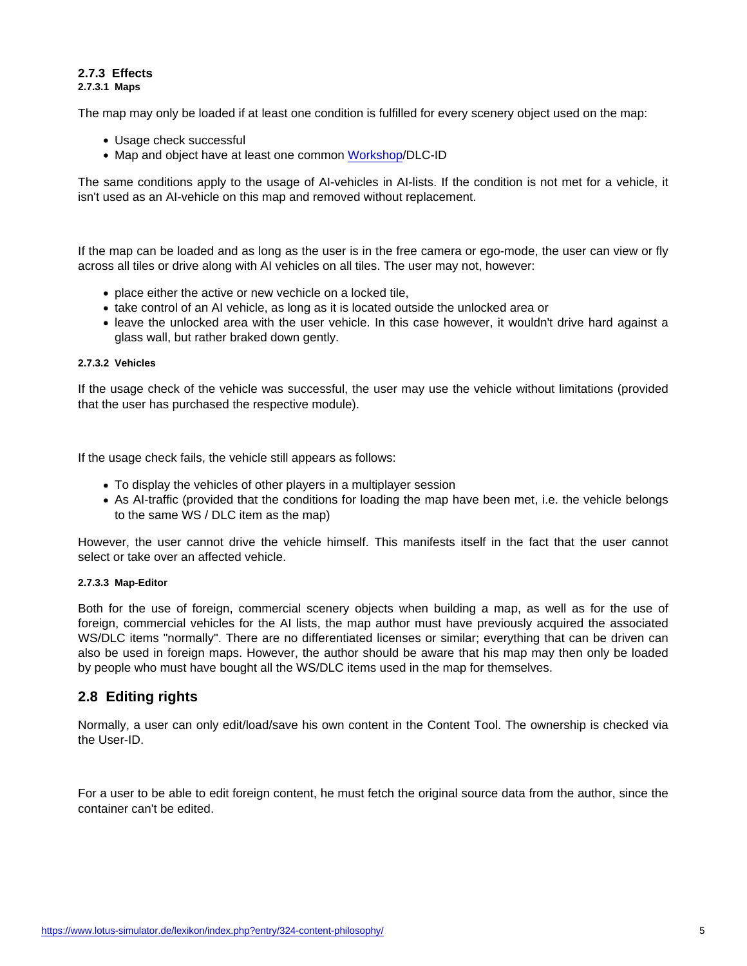#### 2.7.3 Effects 2.7.3.1 Maps

The map may only be loaded if at least one condition is fulfilled for every scenery object used on the map:

- Usage check successful
- Map and object have at least one common [Workshop](https://www.lotus-simulator.de/lexikon/index.php?entry/335-workshop/)/DLC-ID

The same conditions apply to the usage of AI-vehicles in AI-lists. If the condition is not met for a vehicle, it isn't used as an AI-vehicle on this map and removed without replacement.

If the map can be loaded and as long as the user is in the free camera or ego-mode, the user can view or fly across all tiles or drive along with AI vehicles on all tiles. The user may not, however:

- $\bullet$  place either the active or new vechicle on a locked tile.
- take control of an AI vehicle, as long as it is located outside the unlocked area or
- leave the unlocked area with the user vehicle. In this case however, it wouldn't drive hard against a glass wall, but rather braked down gently.

#### 2.7.3.2 Vehicles

If the usage check of the vehicle was successful, the user may use the vehicle without limitations (provided that the user has purchased the respective module).

If the usage check fails, the vehicle still appears as follows:

- To display the vehicles of other players in a multiplayer session
- As AI-traffic (provided that the conditions for loading the map have been met, i.e. the vehicle belongs to the same WS / DLC item as the map)

However, the user cannot drive the vehicle himself. This manifests itself in the fact that the user cannot select or take over an affected vehicle.

#### 2.7.3.3 Map-Editor

Both for the use of foreign, commercial scenery objects when building a map, as well as for the use of foreign, commercial vehicles for the AI lists, the map author must have previously acquired the associated WS/DLC items "normally". There are no differentiated licenses or similar; everything that can be driven can also be used in foreign maps. However, the author should be aware that his map may then only be loaded by people who must have bought all the WS/DLC items used in the map for themselves.

## 2.8 Editing rights

Normally, a user can only edit/load/save his own content in the Content Tool. The ownership is checked via the User-ID.

For a user to be able to edit foreign content, he must fetch the original source data from the author, since the container can't be edited.